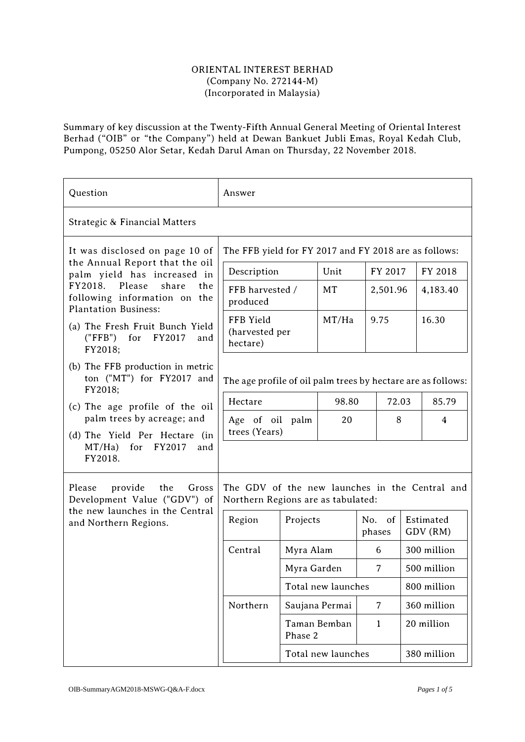## ORIENTAL INTEREST BERHAD (Company No. 272144-M) (Incorporated in Malaysia)

Summary of key discussion at the Twenty-Fifth Annual General Meeting of Oriental Interest Berhad ("OIB" or "the Company") held at Dewan Bankuet Jubli Emas, Royal Kedah Club, Pumpong, 05250 Alor Setar, Kedah Darul Aman on Thursday, 22 November 2018.

| Question                                                                                                                                                                                                                                                                    | Answer                                                                               |                         |                    |                    |  |       |                       |
|-----------------------------------------------------------------------------------------------------------------------------------------------------------------------------------------------------------------------------------------------------------------------------|--------------------------------------------------------------------------------------|-------------------------|--------------------|--------------------|--|-------|-----------------------|
| Strategic & Financial Matters                                                                                                                                                                                                                                               |                                                                                      |                         |                    |                    |  |       |                       |
| It was disclosed on page 10 of<br>the Annual Report that the oil<br>palm yield has increased in<br>FY2018. Please<br>share<br>the<br>following information on the<br><b>Plantation Business:</b><br>(a) The Fresh Fruit Bunch Yield<br>("FFB") for FY2017<br>and<br>FY2018; | The FFB yield for FY 2017 and FY 2018 are as follows:                                |                         |                    |                    |  |       |                       |
|                                                                                                                                                                                                                                                                             | Description                                                                          |                         | Unit               | FY 2017            |  |       | FY 2018               |
|                                                                                                                                                                                                                                                                             | FFB harvested /<br>produced                                                          |                         | MT                 | 2,501.96           |  |       | 4,183.40              |
|                                                                                                                                                                                                                                                                             | FFB Yield<br>(harvested per<br>hectare)                                              |                         | MT/Ha              | 9.75               |  |       | 16.30                 |
| (b) The FFB production in metric<br>ton ("MT") for FY2017 and<br>FY2018;                                                                                                                                                                                                    | The age profile of oil palm trees by hectare are as follows:                         |                         |                    |                    |  |       |                       |
| (c) The age profile of the oil<br>palm trees by acreage; and<br>(d) The Yield Per Hectare (in<br>$MT/Ha)$ for FY2017<br>and<br>FY2018.                                                                                                                                      | Hectare                                                                              |                         | 98.80<br>72.03     |                    |  | 85.79 |                       |
|                                                                                                                                                                                                                                                                             | Age of oil palm<br>trees (Years)                                                     |                         | 20                 | 8                  |  |       | 4                     |
|                                                                                                                                                                                                                                                                             |                                                                                      |                         |                    |                    |  |       |                       |
| Please<br>provide<br>the<br>Gross<br>Development Value ("GDV") of<br>the new launches in the Central<br>and Northern Regions.                                                                                                                                               | The GDV of the new launches in the Central and<br>Northern Regions are as tabulated: |                         |                    |                    |  |       |                       |
|                                                                                                                                                                                                                                                                             | Region                                                                               | Projects                |                    | $No.$ of<br>phases |  |       | Estimated<br>GDV (RM) |
|                                                                                                                                                                                                                                                                             | Central                                                                              | Myra Alam               |                    | 6                  |  |       | 300 million           |
|                                                                                                                                                                                                                                                                             |                                                                                      | Myra Garden             |                    | 7                  |  |       | 500 million           |
|                                                                                                                                                                                                                                                                             |                                                                                      | Total new launches      |                    |                    |  |       | 800 million           |
|                                                                                                                                                                                                                                                                             | Northern                                                                             | Saujana Permai          |                    | 7                  |  |       | 360 million           |
|                                                                                                                                                                                                                                                                             |                                                                                      | Taman Bemban<br>Phase 2 |                    | $\mathbf{1}$       |  |       | 20 million            |
|                                                                                                                                                                                                                                                                             |                                                                                      |                         | Total new launches |                    |  |       | 380 million           |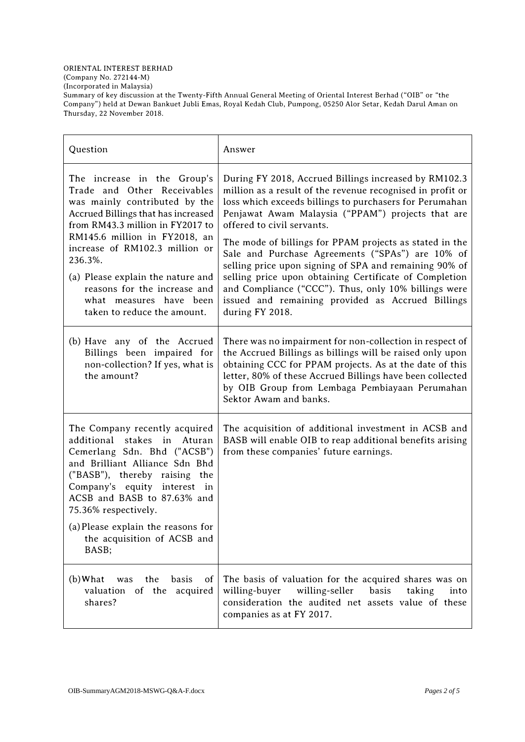(Incorporated in Malaysia)

Summary of key discussion at the Twenty-Fifth Annual General Meeting of Oriental Interest Berhad ("OIB" or "the Company") held at Dewan Bankuet Jubli Emas, Royal Kedah Club, Pumpong, 05250 Alor Setar, Kedah Darul Aman on Thursday, 22 November 2018.

| Question                                                                                                                                                                                                                                                                                                                               | Answer                                                                                                                                                                                                                                                                                                                                                          |
|----------------------------------------------------------------------------------------------------------------------------------------------------------------------------------------------------------------------------------------------------------------------------------------------------------------------------------------|-----------------------------------------------------------------------------------------------------------------------------------------------------------------------------------------------------------------------------------------------------------------------------------------------------------------------------------------------------------------|
| The increase in the Group's<br>Trade and Other Receivables<br>was mainly contributed by the<br>Accrued Billings that has increased<br>from RM43.3 million in FY2017 to                                                                                                                                                                 | During FY 2018, Accrued Billings increased by RM102.3<br>million as a result of the revenue recognised in profit or<br>loss which exceeds billings to purchasers for Perumahan<br>Penjawat Awam Malaysia ("PPAM") projects that are<br>offered to civil servants.                                                                                               |
| RM145.6 million in FY2018, an<br>increase of RM102.3 million or<br>236.3%.<br>(a) Please explain the nature and<br>reasons for the increase and<br>what measures have been<br>taken to reduce the amount.                                                                                                                              | The mode of billings for PPAM projects as stated in the<br>Sale and Purchase Agreements ("SPAs") are 10% of<br>selling price upon signing of SPA and remaining 90% of<br>selling price upon obtaining Certificate of Completion<br>and Compliance ("CCC"). Thus, only 10% billings were<br>issued and remaining provided as Accrued Billings<br>during FY 2018. |
| (b) Have any of the Accrued<br>Billings been impaired for<br>non-collection? If yes, what is<br>the amount?                                                                                                                                                                                                                            | There was no impairment for non-collection in respect of<br>the Accrued Billings as billings will be raised only upon<br>obtaining CCC for PPAM projects. As at the date of this<br>letter, 80% of these Accrued Billings have been collected<br>by OIB Group from Lembaga Pembiayaan Perumahan<br>Sektor Awam and banks.                                       |
| The Company recently acquired<br>additional<br>stakes in Aturan<br>Cemerlang Sdn. Bhd ("ACSB")<br>and Brilliant Alliance Sdn Bhd<br>("BASB"), thereby raising the<br>Company's equity interest in<br>ACSB and BASB to 87.63% and<br>75.36% respectively.<br>(a) Please explain the reasons for<br>the acquisition of ACSB and<br>BASB; | The acquisition of additional investment in ACSB and<br>BASB will enable OIB to reap additional benefits arising<br>from these companies' future earnings.                                                                                                                                                                                                      |
| $(b)$ What<br>the<br>basis<br>was<br><sub>of</sub><br>valuation of the acquired<br>shares?                                                                                                                                                                                                                                             | The basis of valuation for the acquired shares was on<br>willing-buyer<br>willing-seller<br>basis<br>taking<br>into<br>consideration the audited net assets value of these<br>companies as at FY 2017.                                                                                                                                                          |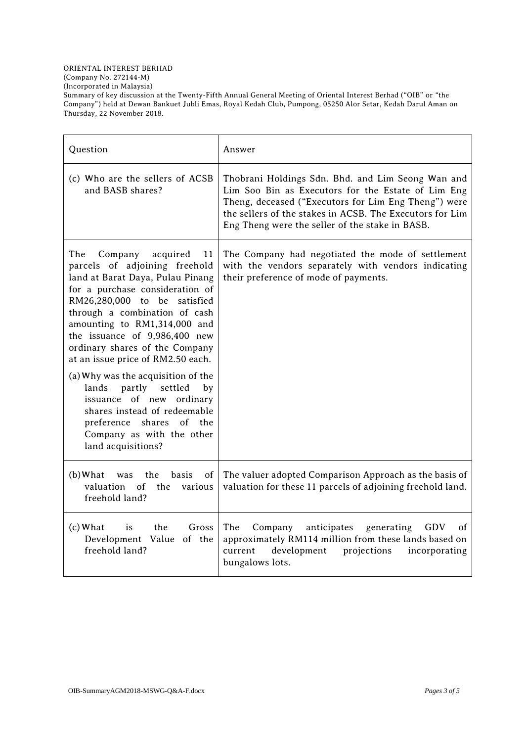## ORIENTAL INTEREST BERHAD

(Company No. 272144-M)

(Incorporated in Malaysia)

Summary of key discussion at the Twenty-Fifth Annual General Meeting of Oriental Interest Berhad ("OIB" or "the Company") held at Dewan Bankuet Jubli Emas, Royal Kedah Club, Pumpong, 05250 Alor Setar, Kedah Darul Aman on Thursday, 22 November 2018.

| Question                                                                                                                                                                                                                                                                                                                                                                                                                                                                                                                                                         | Answer                                                                                                                                                                                                                                                                         |
|------------------------------------------------------------------------------------------------------------------------------------------------------------------------------------------------------------------------------------------------------------------------------------------------------------------------------------------------------------------------------------------------------------------------------------------------------------------------------------------------------------------------------------------------------------------|--------------------------------------------------------------------------------------------------------------------------------------------------------------------------------------------------------------------------------------------------------------------------------|
| (c) Who are the sellers of ACSB<br>and BASB shares?                                                                                                                                                                                                                                                                                                                                                                                                                                                                                                              | Thobrani Holdings Sdn. Bhd. and Lim Seong Wan and<br>Lim Soo Bin as Executors for the Estate of Lim Eng<br>Theng, deceased ("Executors for Lim Eng Theng") were<br>the sellers of the stakes in ACSB. The Executors for Lim<br>Eng Theng were the seller of the stake in BASB. |
| The<br>Company<br>acquired<br>11<br>parcels of adjoining freehold<br>land at Barat Daya, Pulau Pinang<br>for a purchase consideration of<br>RM26,280,000 to be satisfied<br>through a combination of cash<br>amounting to RM1,314,000 and<br>the issuance of 9,986,400 new<br>ordinary shares of the Company<br>at an issue price of RM2.50 each.<br>(a) Why was the acquisition of the<br>lands partly settled<br>by<br>issuance of new ordinary<br>shares instead of redeemable<br>preference shares of the<br>Company as with the other<br>land acquisitions? | The Company had negotiated the mode of settlement<br>with the vendors separately with vendors indicating<br>their preference of mode of payments.                                                                                                                              |
| (b) What was<br>the<br><b>basis</b><br><sub>of</sub><br>valuation<br>$\circ$ f<br>the<br>various<br>freehold land?                                                                                                                                                                                                                                                                                                                                                                                                                                               | The valuer adopted Comparison Approach as the basis of<br>valuation for these 11 parcels of adjoining freehold land.                                                                                                                                                           |
| $(c)$ What<br>is<br>the<br>Gross<br>Development Value of the<br>freehold land?                                                                                                                                                                                                                                                                                                                                                                                                                                                                                   | The<br>Company<br>generating<br>anticipates<br>GDV<br>οf<br>approximately RM114 million from these lands based on<br>development<br>current<br>projections<br>incorporating<br>bungalows lots.                                                                                 |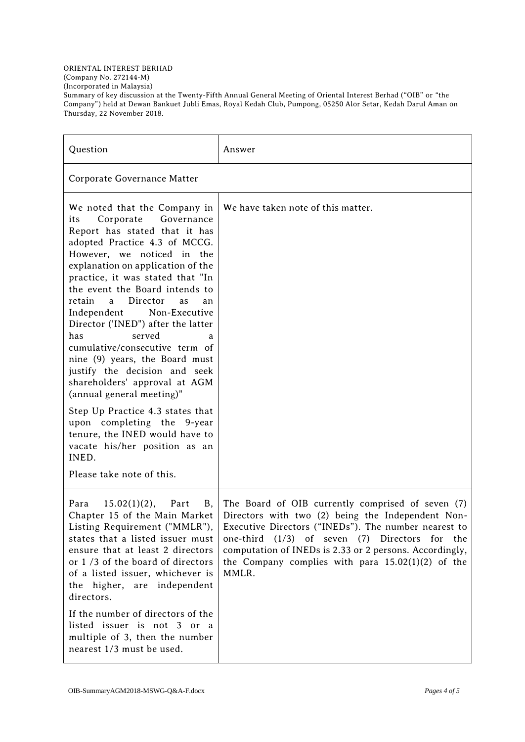## ORIENTAL INTEREST BERHAD (Company No. 272144-M) (Incorporated in Malaysia) Summary of key discussion at the Twenty-Fifth Annual General Meeting of Oriental Interest Berhad ("OIB" or "the Company") held at Dewan Bankuet Jubli Emas, Royal Kedah Club, Pumpong, 05250 Alor Setar, Kedah Darul Aman on Thursday, 22 November 2018.

| Question                                                                                                                                                                                                                                                                                                                                                                                                                                                                                                                                                                                                              | Answer                                                                                                                                                                                                                                                                                                                                          |
|-----------------------------------------------------------------------------------------------------------------------------------------------------------------------------------------------------------------------------------------------------------------------------------------------------------------------------------------------------------------------------------------------------------------------------------------------------------------------------------------------------------------------------------------------------------------------------------------------------------------------|-------------------------------------------------------------------------------------------------------------------------------------------------------------------------------------------------------------------------------------------------------------------------------------------------------------------------------------------------|
| Corporate Governance Matter                                                                                                                                                                                                                                                                                                                                                                                                                                                                                                                                                                                           |                                                                                                                                                                                                                                                                                                                                                 |
| We noted that the Company in<br>Governance<br>Corporate<br>its<br>Report has stated that it has<br>adopted Practice 4.3 of MCCG.<br>However, we noticed in the<br>explanation on application of the<br>practice, it was stated that "In<br>the event the Board intends to<br>Director<br>retain<br>a a<br>as<br>an<br>Independent<br>Non-Executive<br>Director ('INED") after the latter<br>served<br>has<br>a<br>cumulative/consecutive term of<br>nine (9) years, the Board must<br>justify the decision and seek<br>shareholders' approval at AGM<br>(annual general meeting)"<br>Step Up Practice 4.3 states that | We have taken note of this matter.                                                                                                                                                                                                                                                                                                              |
| upon completing the 9-year<br>tenure, the INED would have to<br>vacate his/her position as an<br>INED.                                                                                                                                                                                                                                                                                                                                                                                                                                                                                                                |                                                                                                                                                                                                                                                                                                                                                 |
| Please take note of this.                                                                                                                                                                                                                                                                                                                                                                                                                                                                                                                                                                                             |                                                                                                                                                                                                                                                                                                                                                 |
| Para<br>$15.02(1)(2)$ ,<br>Part<br>B,<br>Chapter 15 of the Main Market<br>Listing Requirement ("MMLR"),<br>states that a listed issuer must<br>ensure that at least 2 directors<br>or 1/3 of the board of directors<br>of a listed issuer, whichever is<br>the higher, are independent<br>directors.                                                                                                                                                                                                                                                                                                                  | The Board of OIB currently comprised of seven (7)<br>Directors with two (2) being the Independent Non-<br>Executive Directors ("INEDs"). The number nearest to<br>one-third $(1/3)$ of seven $(7)$ Directors for the<br>computation of INEDs is 2.33 or 2 persons. Accordingly,<br>the Company complies with para $15.02(1)(2)$ of the<br>MMLR. |
| If the number of directors of the<br>listed issuer is not 3 or a<br>multiple of 3, then the number<br>nearest 1/3 must be used.                                                                                                                                                                                                                                                                                                                                                                                                                                                                                       |                                                                                                                                                                                                                                                                                                                                                 |